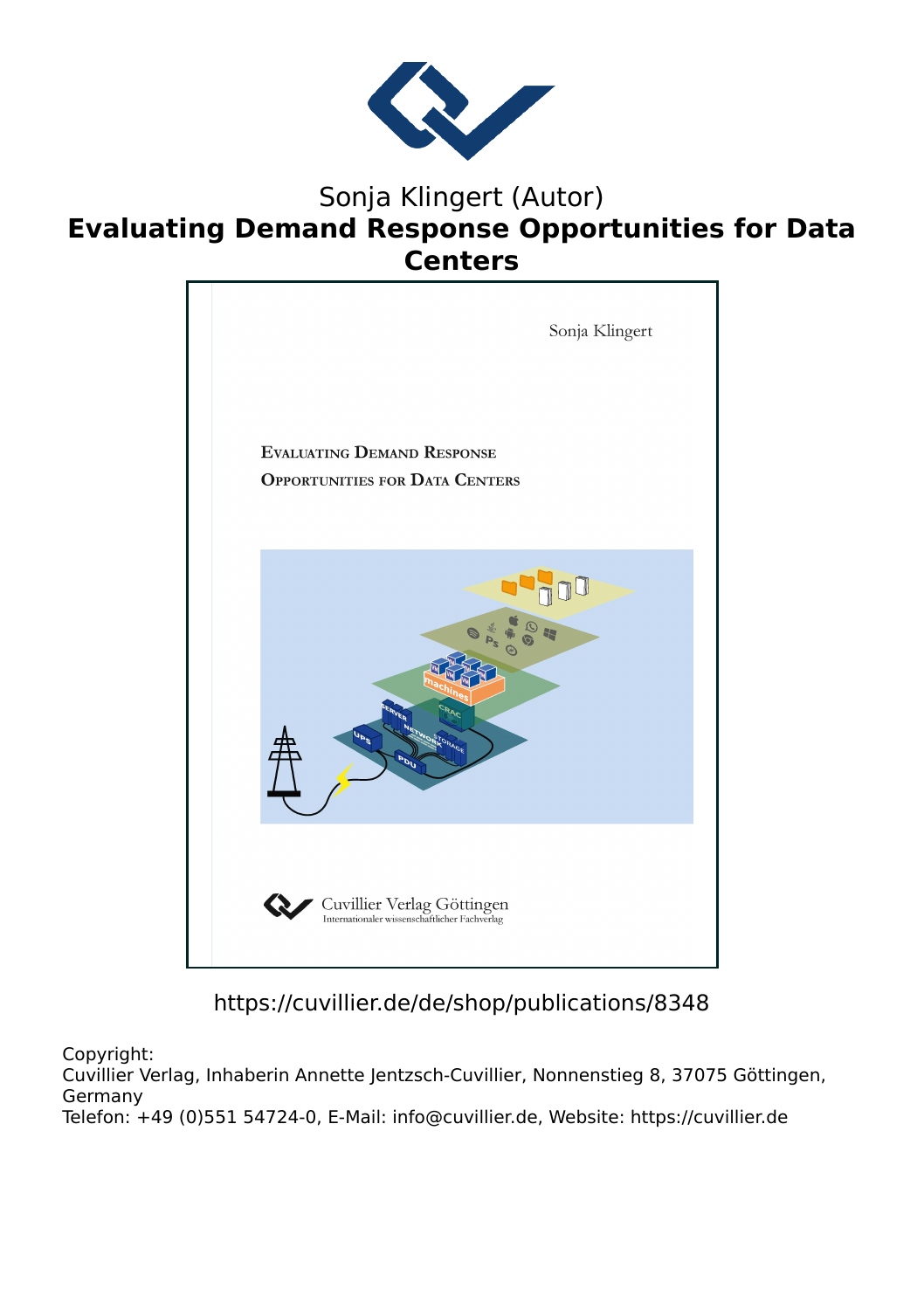

## Sonja Klingert (Autor) **Evaluating Demand Response Opportunities for Data Centers**



## https://cuvillier.de/de/shop/publications/8348

Copyright:

Cuvillier Verlag, Inhaberin Annette Jentzsch-Cuvillier, Nonnenstieg 8, 37075 Göttingen, Germany Telefon: +49 (0)551 54724-0, E-Mail: info@cuvillier.de, Website: https://cuvillier.de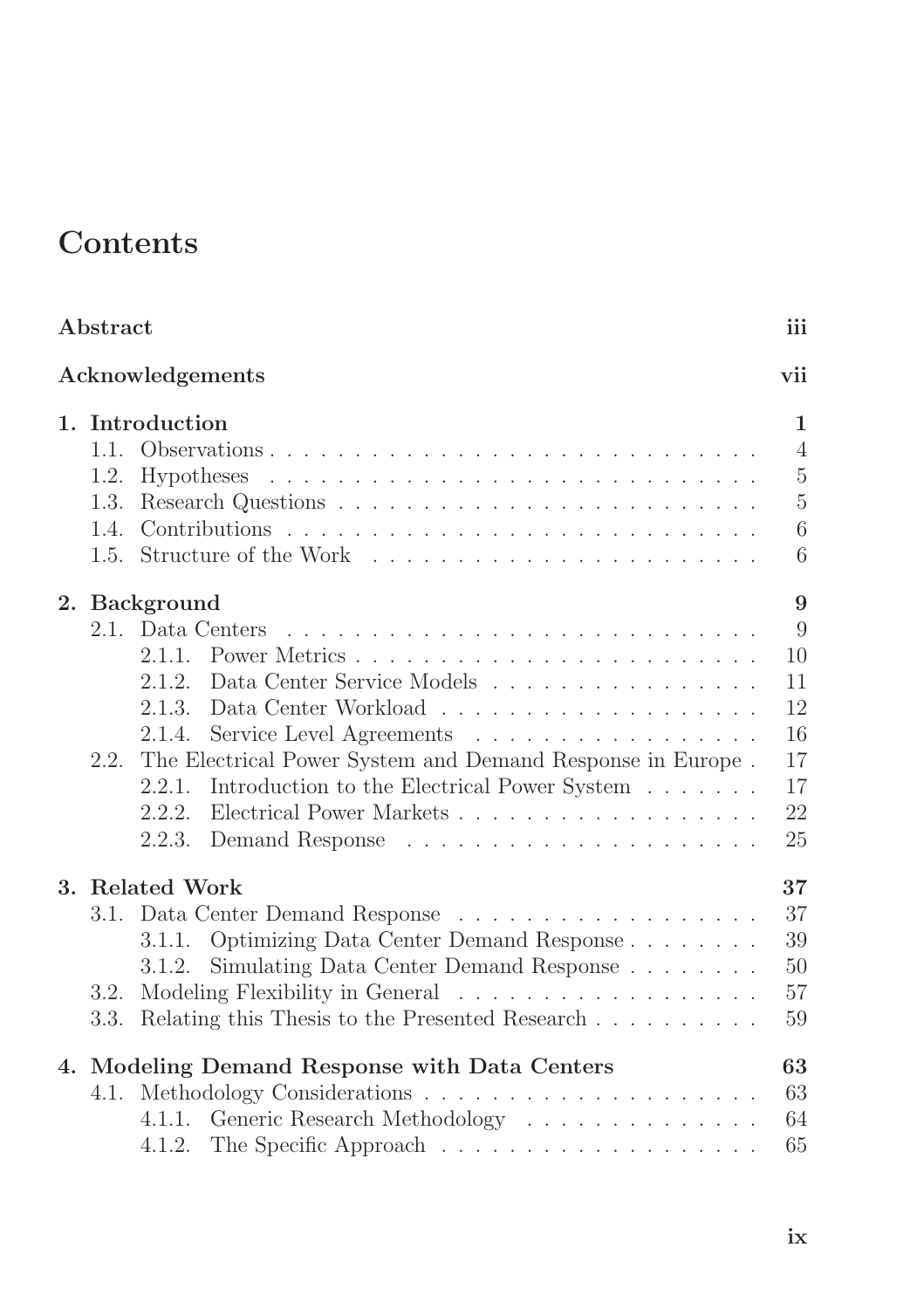## **Contents**

| Abstract |                                               |                                                                          |                |  |  |  |  |
|----------|-----------------------------------------------|--------------------------------------------------------------------------|----------------|--|--|--|--|
|          |                                               | Acknowledgements                                                         | vii            |  |  |  |  |
|          | 1. Introduction                               |                                                                          |                |  |  |  |  |
|          | 1.1.                                          |                                                                          | $\overline{4}$ |  |  |  |  |
|          | 1.2.                                          |                                                                          | $\overline{5}$ |  |  |  |  |
|          | 1.3.                                          |                                                                          | $\overline{5}$ |  |  |  |  |
|          | 1.4.                                          |                                                                          | 6              |  |  |  |  |
|          |                                               |                                                                          | 6              |  |  |  |  |
|          | 2. Background                                 |                                                                          |                |  |  |  |  |
|          |                                               | 2.1. Data Centers                                                        | 9              |  |  |  |  |
|          |                                               |                                                                          | 10             |  |  |  |  |
|          |                                               | Data Center Service Models<br>2.1.2.                                     | 11             |  |  |  |  |
|          |                                               |                                                                          | 12             |  |  |  |  |
|          |                                               | 2.1.4.<br>Service Level Agreements                                       | 16             |  |  |  |  |
|          | 2.2.                                          | The Electrical Power System and Demand Response in Europe.               | 17             |  |  |  |  |
|          |                                               | 2.2.1. Introduction to the Electrical Power System                       | 17             |  |  |  |  |
|          |                                               | Electrical Power Markets<br>2.2.2.                                       | 22             |  |  |  |  |
|          |                                               | 2.2.3.                                                                   | 25             |  |  |  |  |
|          | 3. Related Work                               |                                                                          |                |  |  |  |  |
|          |                                               | 3.1. Data Center Demand Response                                         | 37             |  |  |  |  |
|          |                                               | 3.1.1. Optimizing Data Center Demand Response                            | 39             |  |  |  |  |
|          |                                               | 3.1.2. Simulating Data Center Demand Response                            | 50             |  |  |  |  |
|          | 3.2.                                          | 57                                                                       |                |  |  |  |  |
|          | 3.3.                                          | Relating this Thesis to the Presented Research<br>59                     |                |  |  |  |  |
|          | 4. Modeling Demand Response with Data Centers |                                                                          |                |  |  |  |  |
|          |                                               |                                                                          | 63             |  |  |  |  |
|          |                                               | Generic Research Methodology<br>4.1.1.                                   | 64             |  |  |  |  |
|          |                                               | 4.1.2. The Specific Approach $\ldots \ldots \ldots \ldots \ldots \ldots$ | 65             |  |  |  |  |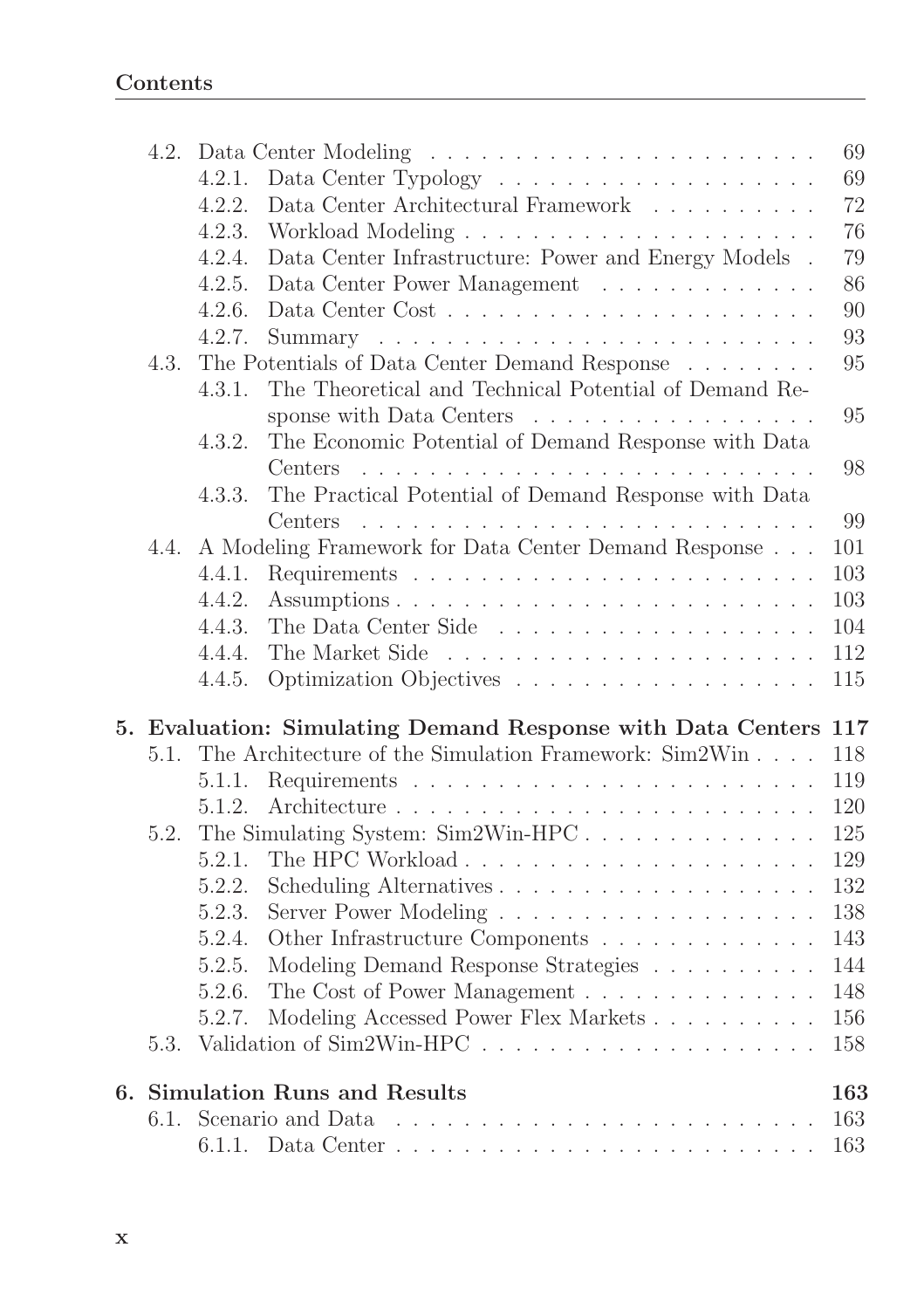|      |        |                                                                  | 69  |
|------|--------|------------------------------------------------------------------|-----|
|      | 4.2.1. |                                                                  | 69  |
|      | 4.2.2. | Data Center Architectural Framework $\ldots \ldots \ldots$       | 72  |
|      | 4.2.3. |                                                                  | 76  |
|      | 4.2.4. | Data Center Infrastructure: Power and Energy Models $\,$ .       | 79  |
|      | 4.2.5. | Data Center Power Management                                     | 86  |
|      | 4.2.6. |                                                                  | 90  |
|      | 4.2.7. |                                                                  | 93  |
| 4.3. |        | The Potentials of Data Center Demand Response                    | 95  |
|      | 4.3.1. | The Theoretical and Technical Potential of Demand Re-            |     |
|      |        | sponse with Data Centers                                         | 95  |
|      | 4.3.2. | The Economic Potential of Demand Response with Data              |     |
|      |        | Centers.                                                         | 98  |
|      | 4.3.3. | The Practical Potential of Demand Response with Data             |     |
|      |        | Centers :                                                        | 99  |
| 4.4. |        | A Modeling Framework for Data Center Demand Response             | 101 |
|      | 4.4.1. |                                                                  | 103 |
|      | 4.4.2. |                                                                  | 103 |
|      | 4.4.3. |                                                                  | 104 |
|      | 4.4.4. |                                                                  | 112 |
|      | 4.4.5. |                                                                  | 115 |
|      |        |                                                                  |     |
|      |        | 5. Evaluation: Simulating Demand Response with Data Centers 117  |     |
| 5.1. |        | The Architecture of the Simulation Framework: Sim2Win            | 118 |
|      | 5.1.1. |                                                                  | 119 |
|      | 5.1.2. |                                                                  | 120 |
| 5.2. |        | The Simulating System: $Sim2Win-HPC \ldots \ldots \ldots \ldots$ | 125 |
|      | 5.2.1. |                                                                  | 129 |
|      | 5.2.2. |                                                                  | 132 |
|      | 5.2.3. |                                                                  | 138 |
|      | 5.2.4. | Other Infrastructure Components                                  | 143 |
|      | 5.2.5. | Modeling Demand Response Strategies                              | 144 |
|      | 5.2.6. | The Cost of Power Management                                     | 148 |
|      | 5.2.7. | Modeling Accessed Power Flex Markets                             | 156 |
| 5.3. |        |                                                                  | 158 |
|      |        | 6. Simulation Runs and Results                                   | 163 |
|      |        |                                                                  | 163 |
|      |        |                                                                  | 163 |
|      |        |                                                                  |     |